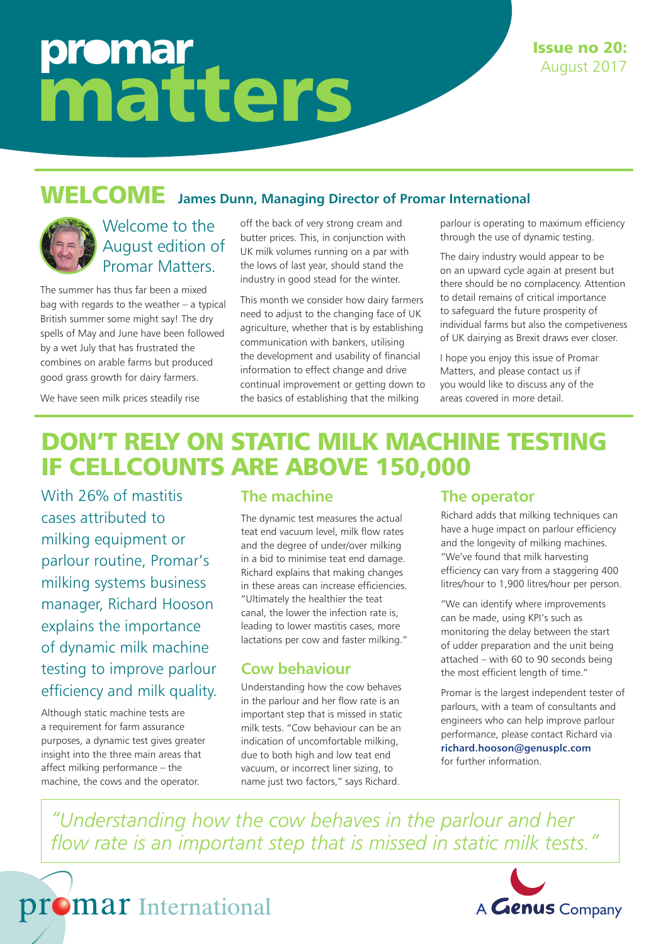# promar matters

#### WELCOME **James Dunn, Managing Director of Promar International**



### Welcome to the August edition of Promar Matters.

The summer has thus far been a mixed bag with regards to the weather – a typical British summer some might say! The dry spells of May and June have been followed by a wet July that has frustrated the combines on arable farms but produced good grass growth for dairy farmers.

off the back of very strong cream and butter prices. This, in conjunction with UK milk volumes running on a par with the lows of last year, should stand the industry in good stead for the winter.

This month we consider how dairy farmers need to adjust to the changing face of UK agriculture, whether that is by establishing communication with bankers, utilising the development and usability of financial information to effect change and drive continual improvement or getting down to the basics of establishing that the milking

parlour is operating to maximum efficiency through the use of dynamic testing.

The dairy industry would appear to be on an upward cycle again at present but there should be no complacency. Attention to detail remains of critical importance to safeguard the future prosperity of individual farms but also the competiveness of UK dairying as Brexit draws ever closer.

I hope you enjoy this issue of Promar Matters, and please contact us if you would like to discuss any of the areas covered in more detail.

We have seen milk prices steadily rise

## DON'T RELY ON STATIC MILK MACHINE TESTING IF CELLCOUNTS ARE ABOVE 150,000

With 26% of mastitis cases attributed to milking equipment or parlour routine, Promar's milking systems business manager, Richard Hooson explains the importance of dynamic milk machine testing to improve parlour efficiency and milk quality.

Although static machine tests are a requirement for farm assurance purposes, a dynamic test gives greater insight into the three main areas that affect milking performance – the machine, the cows and the operator.

promar International

#### **The machine**

The dynamic test measures the actual teat end vacuum level, milk flow rates and the degree of under/over milking in a bid to minimise teat end damage. Richard explains that making changes in these areas can increase efficiencies. "Ultimately the healthier the teat canal, the lower the infection rate is, leading to lower mastitis cases, more lactations per cow and faster milking."

#### **Cow behaviour**

Understanding how the cow behaves in the parlour and her flow rate is an important step that is missed in static milk tests. "Cow behaviour can be an indication of uncomfortable milking, due to both high and low teat end vacuum, or incorrect liner sizing, to name just two factors," says Richard.

#### **The operator**

Richard adds that milking techniques can have a huge impact on parlour efficiency and the longevity of milking machines. "We've found that milk harvesting efficiency can vary from a staggering 400 litres/hour to 1,900 litres/hour per person.

"We can identify where improvements can be made, using KPI's such as monitoring the delay between the start of udder preparation and the unit being attached – with 60 to 90 seconds being the most efficient length of time."

Promar is the largest independent tester of parlours, with a team of consultants and engineers who can help improve parlour performance, please contact Richard via **richard.hooson@genusplc.com** for further information.

*"Understanding how the cow behaves in the parlour and her flow rate is an important step that is missed in static milk tests."*